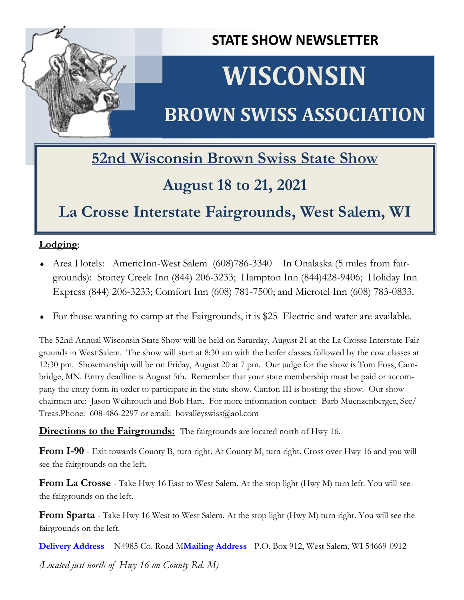

**STATE SHOW NEWSLETTER**

# **WISCONSIN**

# **BROWN SWISS ASSOCIATION**

### **52nd Wisconsin Brown Swiss State Show**

### **August 18 to 21, 2021**

### **La Crosse Interstate Fairgrounds, West Salem, WI**

### **Lodging**:

- Area Hotels: AmericInn-West Salem (608)786-3340 In Onalaska (5 miles from fairgrounds): Stoney Creek Inn (844) 206-3233; Hampton Inn (844)428-9406; Holiday Inn Express (844) 206-3233; Comfort Inn (608) 781-7500; and Microtel Inn (608) 783-0833.
- For those wanting to camp at the Fairgrounds, it is \$25 Electric and water are available.

The 52nd Annual Wisconsin State Show will be held on Saturday, August 21 at the La Crosse Interstate Fairgrounds in West Salem. The show will start at 8:30 am with the heifer classes followed by the cow classes at 12:30 pm. Showmanship will be on Friday, August 20 at 7 pm. Our judge for the show is Tom Foss, Cambridge, MN. Entry deadline is August 5th. Remember that your state membership must be paid or accompany the entry form in order to participate in the state show. Canton III is hosting the show. Our show chairmen are: Jason Weihrouch and Bob Hart. For more information contact: Barb Muenzenberger, Sec/ Treas.Phone:  $608-486-2297$  or email: bovalleyswiss@aol.com

**Directions to the Fairgrounds:** The fairgrounds are located north of Hwy 16.

**From I-90** - Exit towards County B, turn right. At County M, turn right. Cross over Hwy 16 and you will see the fairgrounds on the left.

**From La Crosse** - Take Hwy 16 East to West Salem. At the stop light (Hwy M) turn left. You will see the fairgrounds on the left.

**From Sparta** - Take Hwy 16 West to West Salem. At the stop light (Hwy M) turn right. You will see the fairgrounds on the left.

**Delivery Address** - N4985 Co. Road M**Mailing Address** - P.O. Box 912, West Salem, WI 54669-0912

*(Located just north of Hwy 16 on County Rd. M)*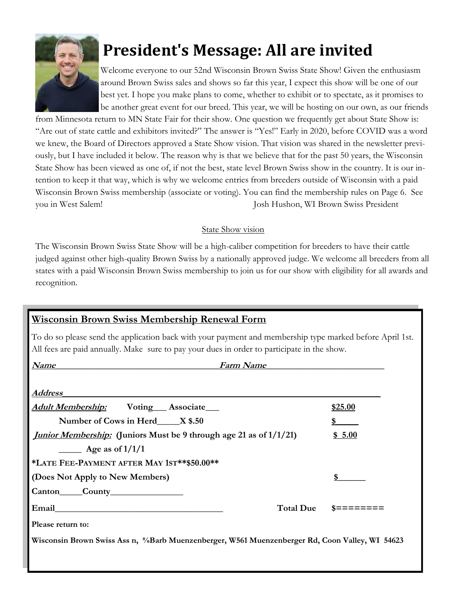

# **President's Message: All are invited**

Welcome everyone to our 52nd Wisconsin Brown Swiss State Show! Given the enthusiasm around Brown Swiss sales and shows so far this year, I expect this show will be one of our best yet. I hope you make plans to come, whether to exhibit or to spectate, as it promises to be another great event for our breed. This year, we will be hosting on our own, as our friends

from Minnesota return to MN State Fair for their show. One question we frequently get about State Show is: "Are out of state cattle and exhibitors invited?" The answer is "Yes!" Early in 2020, before COVID was a word we knew, the Board of Directors approved a State Show vision. That vision was shared in the newsletter previously, but I have included it below. The reason why is that we believe that for the past 50 years, the Wisconsin State Show has been viewed as one of, if not the best, state level Brown Swiss show in the country. It is our intention to keep it that way, which is why we welcome entries from breeders outside of Wisconsin with a paid Wisconsin Brown Swiss membership (associate or voting). You can find the membership rules on Page 6. See you in West Salem! Josh Hushon, WI Brown Swiss President

#### State Show vision

The Wisconsin Brown Swiss State Show will be a high-caliber competition for breeders to have their cattle judged against other high-quality Brown Swiss by a nationally approved judge. We welcome all breeders from all states with a paid Wisconsin Brown Swiss membership to join us for our show with eligibility for all awards and recognition.

| <b>Wisconsin Brown Swiss Membership Renewal Form</b>                                                                                                                                                    |                 |
|---------------------------------------------------------------------------------------------------------------------------------------------------------------------------------------------------------|-----------------|
| To do so please send the application back with your payment and membership type marked before April 1st.<br>All fees are paid annually. Make sure to pay your dues in order to participate in the show. |                 |
| <b>Name</b><br><b>Farm Name</b><br><u> Andreas Andreas Andreas Andreas Andreas Andreas Andreas Andreas Andreas Andreas Andreas Andreas Andreas Andreas</u>                                              |                 |
| <b>Address</b>                                                                                                                                                                                          |                 |
| <b>Adult Membership:</b> Voting Associate                                                                                                                                                               | \$25.00         |
| Number of Cows in Herd______ X \$.50                                                                                                                                                                    | \$              |
| <i>Junior Membership:</i> (Juniors Must be 9 through age 21 as of 1/1/21)                                                                                                                               | \$5.00          |
| $\frac{1}{2}$ Age as of $\frac{1}{1/1}$                                                                                                                                                                 |                 |
| *LATE FEE-PAYMENT AFTER MAY 1ST**\$50.00**                                                                                                                                                              |                 |
| (Does Not Apply to New Members)                                                                                                                                                                         | \$              |
|                                                                                                                                                                                                         |                 |
| <b>Total Due</b>                                                                                                                                                                                        | $s = = = = = =$ |
| Please return to:                                                                                                                                                                                       |                 |
| Wisconsin Brown Swiss Ass n, %Barb Muenzenberger, W561 Muenzenberger Rd, Coon Valley, WI 54623                                                                                                          |                 |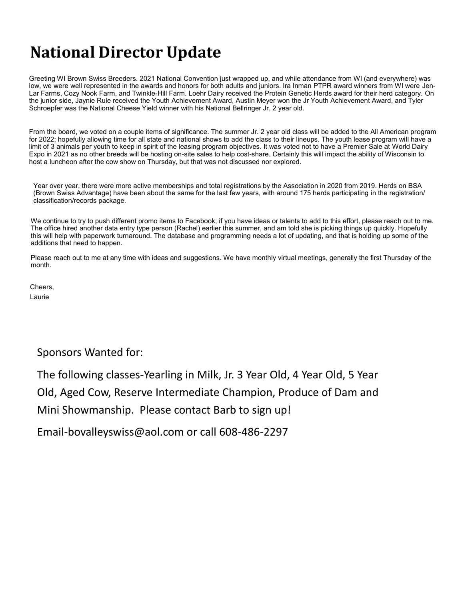### **National Director Update**

Greeting WI Brown Swiss Breeders. 2021 National Convention just wrapped up, and while attendance from WI (and everywhere) was low, we were well represented in the awards and honors for both adults and juniors. Ira Inman PTPR award winners from WI were Jen-Lar Farms, Cozy Nook Farm, and Twinkle-Hill Farm. Loehr Dairy received the Protein Genetic Herds award for their herd category. On the junior side, Jaynie Rule received the Youth Achievement Award, Austin Meyer won the Jr Youth Achievement Award, and Tyler Schroepfer was the National Cheese Yield winner with his National Bellringer Jr. 2 year old.

From the board, we voted on a couple items of significance. The summer Jr. 2 year old class will be added to the All American program for 2022; hopefully allowing time for all state and national shows to add the class to their lineups. The youth lease program will have a limit of 3 animals per youth to keep in spirit of the leasing program objectives. It was voted not to have a Premier Sale at World Dairy Expo in 2021 as no other breeds will be hosting on-site sales to help cost-share. Certainly this will impact the ability of Wisconsin to host a luncheon after the cow show on Thursday, but that was not discussed nor explored.

Year over year, there were more active memberships and total registrations by the Association in 2020 from 2019. Herds on BSA (Brown Swiss Advantage) have been about the same for the last few years, with around 175 herds participating in the registration/ classification/records package.

We continue to try to push different promo items to Facebook; if you have ideas or talents to add to this effort, please reach out to me. The office hired another data entry type person (Rachel) earlier this summer, and am told she is picking things up quickly. Hopefully this will help with paperwork turnaround. The database and programming needs a lot of updating, and that is holding up some of the additions that need to happen.

Please reach out to me at any time with ideas and suggestions. We have monthly virtual meetings, generally the first Thursday of the month.

Cheers, Laurie

#### Sponsors Wanted for:

The following classes-Yearling in Milk, Jr. 3 Year Old, 4 Year Old, 5 Year Old, Aged Cow, Reserve Intermediate Champion, Produce of Dam and Mini Showmanship. Please contact Barb to sign up!

Email-bovalleyswiss@aol.com or call 608-486-2297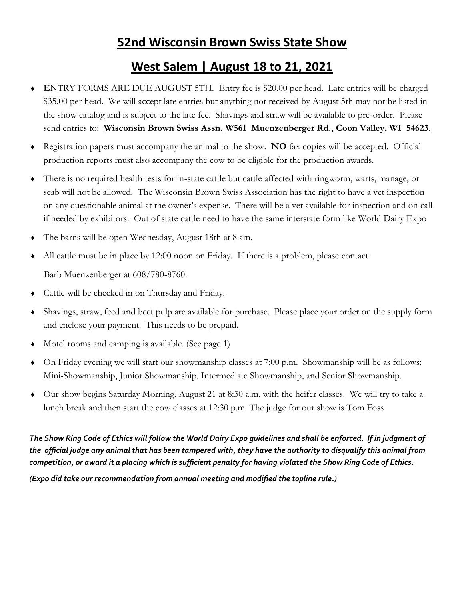### **52nd Wisconsin Brown Swiss State Show**

### **West Salem | August 18 to 21, 2021**

- **E**NTRY FORMS ARE DUE AUGUST 5TH. Entry fee is \$20.00 per head. Late entries will be charged \$35.00 per head. We will accept late entries but anything not received by August 5th may not be listed in the show catalog and is subject to the late fee. Shavings and straw will be available to pre-order. Please send entries to: **Wisconsin Brown Swiss Assn. W561 Muenzenberger Rd., Coon Valley, WI 54623.**
- Registration papers must accompany the animal to the show. **NO** fax copies will be accepted. Official production reports must also accompany the cow to be eligible for the production awards.
- There is no required health tests for in-state cattle but cattle affected with ringworm, warts, manage, or scab will not be allowed. The Wisconsin Brown Swiss Association has the right to have a vet inspection on any questionable animal at the owner's expense. There will be a vet available for inspection and on call if needed by exhibitors. Out of state cattle need to have the same interstate form like World Dairy Expo
- The barns will be open Wednesday, August 18th at 8 am.
- All cattle must be in place by 12:00 noon on Friday. If there is a problem, please contact Barb Muenzenberger at 608/780-8760.
- Cattle will be checked in on Thursday and Friday.
- Shavings, straw, feed and beet pulp are available for purchase. Please place your order on the supply form and enclose your payment. This needs to be prepaid.
- Motel rooms and camping is available. (See page 1)
- On Friday evening we will start our showmanship classes at 7:00 p.m. Showmanship will be as follows: Mini-Showmanship, Junior Showmanship, Intermediate Showmanship, and Senior Showmanship.
- Our show begins Saturday Morning, August 21 at 8:30 a.m. with the heifer classes. We will try to take a lunch break and then start the cow classes at 12:30 p.m. The judge for our show is Tom Foss

*The Show Ring Code of Ethics will follow the World Dairy Expo guidelines and shall be enforced. If in judgment of the official judge any animal that has been tampered with, they have the authority to disqualify this animal from competition, or award it a placing which is sufficient penalty for having violated the Show Ring Code of Ethics.*

*(Expo did take our recommendation from annual meeting and modified the topline rule.)*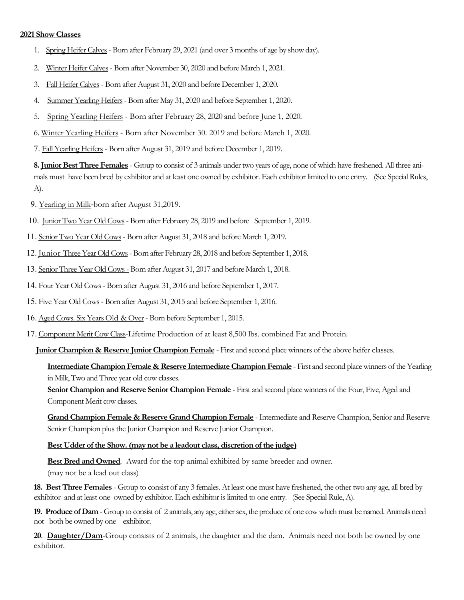#### **2021 Show Classes**

- 1. Spring Heifer Calves Born after February 29, 2021 (and over 3 months of age by show day).
- 2. Winter Heifer Calves- Born after November 30, 2020 and before March 1, 2021.
- 3. Fall Heifer Calves Born after August 31, 2020 and before December 1, 2020.
- 4. Summer Yearling Heifers- Born after May 31, 2020 and before September 1, 2020.
- 5. Spring Yearling Heifers Born after February 28, 2020 and before June 1, 2020.
- 6. Winter Yearling Heifers Born after November 30. 2019 and before March 1, 2020.
- 7. Fall Yearling Heifers Born after August 31, 2019 and before December 1, 2019.

**8. Junior Best Three Females** - Group to consist of 3 animals under two years of age, none of which have freshened. All three animals must have been bred by exhibitor and at least one owned by exhibitor. Each exhibitor limited to one entry. (See Special Rules, A).

- 9. Yearling in Milk-born after August 31,2019.
- 10. Junior Two Year Old Cows Born after February 28, 2019 and before September 1, 2019.
- 11. Senior Two Year Old Cows- Born after August 31, 2018 and before March 1, 2019.
- 12. Junior Three Year Old Cows- Born after February 28, 2018 and before September 1, 2018.
- 13. Senior Three Year Old Cows Born after August 31, 2017 and before March 1, 2018.
- 14. Four Year Old Cows- Born after August 31, 2016 and before September 1, 2017.
- 15. Five Year Old Cows- Born after August 31, 2015 and before September 1, 2016.
- 16. Aged Cows. Six Years Old & Over Born before September 1, 2015.
- 17. Component Merit Cow Class-Lifetime Production of at least 8,500 lbs. combined Fat and Protein.

**Junior Champion & Reserve Junior Champion Female** - First and second place winners of the above heifer classes.

#### **Intermediate Champion Female & Reserve Intermediate Champion Female** - First and second place winners of the Yearling in Milk, Two and Three year old cow classes.

**Senior Champion and Reserve Senior Champion Female** - First and second place winners of the Four, Five, Aged and Component Merit cow classes.

**Grand Champion Female & Reserve Grand Champion Female** - Intermediate and Reserve Champion, Senior and Reserve Senior Champion plus the Junior Champion and Reserve Junior Champion.

#### **Best Udder of the Show. (may not be a leadout class, discretion of the judge)**

**Best Bred and Owned**. Award for the top animal exhibited by same breeder and owner. (may not be a lead out class)

**18. Best Three Females** - Group to consist of any 3 females. At least one must have freshened, the other two any age, all bred by exhibitor and at least one owned by exhibitor. Each exhibitor is limited to one entry. (See Special Rule, A).

**19. Produce of Dam** - Group to consist of 2 animals, any age, either sex, the produce of one cow which must be named. Animals need not both be owned by one exhibitor.

**20**. **Daughter/Dam**-Group consists of 2 animals, the daughter and the dam. Animals need not both be owned by one exhibitor.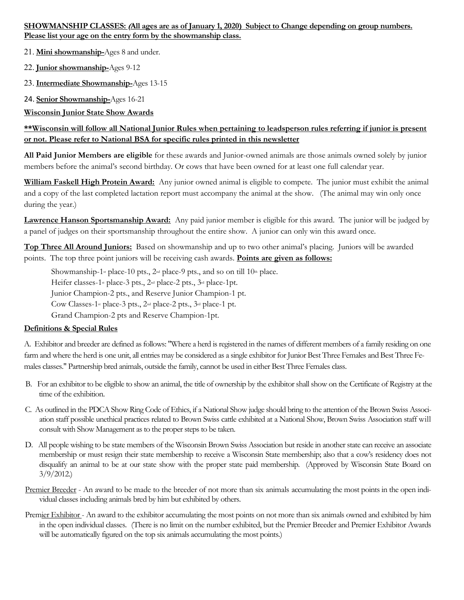#### **SHOWMANSHIP CLASSES: (All ages are as of January 1, 2020) Subject to Change depending on group numbers. Please list your age on the entry form by the showmanship class.**

21. **Mini showmanship-**Ages 8 and under.

22. **Junior showmanship-**Ages 9-12

23. **Intermediate Showmanship-**Ages 13-15

24. **Senior Showmanship-**Ages 16-21

**Wisconsin Junior State Show Awards**

#### **\*\*Wisconsin will follow all National Junior Rules when pertaining to leadsperson rules referring if junior is present or not. Please refer to National BSA for specific rules printed in this newsletter**

**All Paid Junior Members are eligible** for these awards and Junior-owned animals are those animals owned solely by junior members before the animal's second birthday. Or cows that have been owned for at least one full calendar year.

**William Faskell High Protein Award:** Any junior owned animal is eligible to compete. The junior must exhibit the animal and a copy of the last completed lactation report must accompany the animal at the show. (The animal may win only once during the year.)

**Lawrence Hanson Sportsmanship Award:** Any paid junior member is eligible for this award. The junior will be judged by a panel of judges on their sportsmanship throughout the entire show. A junior can only win this award once.

**Top Three All Around Juniors:** Based on showmanship and up to two other animal's placing. Juniors will be awarded points. The top three point juniors will be receiving cash awards. **Points are given as follows:** 

Showmanship-1<sup>st</sup> place-10 pts.,  $2<sup>nd</sup>$  place-9 pts., and so on till 10<sup>th</sup> place.

Heifer classes-1<sup>st</sup> place-3 pts., 2<sup>nd</sup> place-2 pts., 3<sup>rd</sup> place-1pt.

Junior Champion-2 pts., and Reserve Junior Champion-1 pt.

Cow Classes-1<sup>st</sup> place-3 pts., 2<sup>nd</sup> place-2 pts., 3<sup>rd</sup> place-1 pt.

Grand Champion-2 pts and Reserve Champion-1pt.

#### **Definitions & Special Rules**

A. Exhibitor and breeder are defined as follows: "Where a herd is registered in the names of different members of a family residing on one farm and where the herd is one unit, all entries may be considered as a single exhibitor for Junior Best Three Females and Best Three Females classes." Partnership bred animals, outside the family, cannot be used in either Best Three Females class.

- B. For an exhibitor to be eligible to show an animal, the title of ownership by the exhibitor shall show on the Certificate of Registry at the time of the exhibition.
- C. As outlined in the PDCA Show Ring Code of Ethics, if a National Show judge should bring to the attention of the Brown Swiss Association staff possible unethical practices related to Brown Swiss cattle exhibited at a National Show, Brown Swiss Association staff will consult with Show Management as to the proper steps to be taken.
- D. All people wishing to be state members of the Wisconsin Brown Swiss Association but reside in another state can receive an associate membership or must resign their state membership to receive a Wisconsin State membership; also that a cow's residency does not disqualify an animal to be at our state show with the proper state paid membership. (Approved by Wisconsin State Board on 3/9/2012.)
- Premier Breeder An award to be made to the breeder of not more than six animals accumulating the most points in the open individual classes including animals bred by him but exhibited by others.
- Premier Exhibitor An award to the exhibitor accumulating the most points on not more than six animals owned and exhibited by him in the open individual classes. (There is no limit on the number exhibited, but the Premier Breeder and Premier Exhibitor Awards will be automatically figured on the top six animals accumulating the most points.)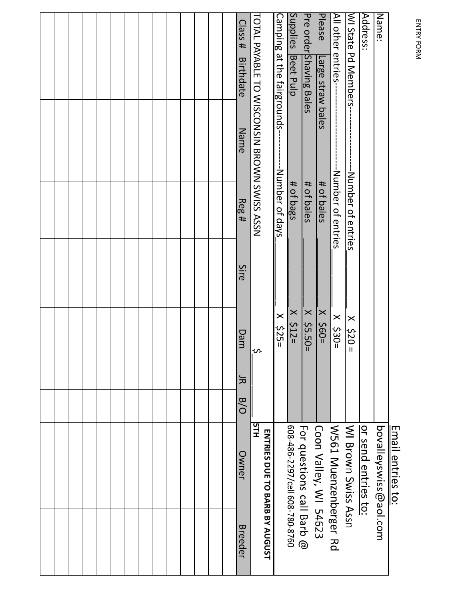ENTRY FORM ENTRY FORM

|                                             |                    |      |                     |   |     | <b>Email entries to:</b>             |         |
|---------------------------------------------|--------------------|------|---------------------|---|-----|--------------------------------------|---------|
| Name:                                       |                    |      |                     |   |     | bovalleyswiss@aol.com                |         |
| Address:                                    |                    |      |                     |   |     | or send entries to:                  |         |
| WIState Pd Members-                         |                    |      | $x = 200 =$         |   |     | WI Brown Swiss Assn                  |         |
| All other entries-                          | -Number of entries |      | $\times$<br>$530 =$ |   |     | W501 Nuenzenberger Rd                |         |
| Please<br>Large straw bales                 | # of bales         |      | $\times$ \$60=      |   |     | Coon Valley, WI 54623                |         |
| Pre order Shaving Bales                     | # of bales         |      | $X$ \$5.50=         |   |     | For questions call Barb @            |         |
| Supplies Beet Pulp                          | # of bags          |      | $x \le 12$          |   |     | 608-486-2297/cell 608-780-8760       |         |
| Camping at the fairgrounds-                 | -- Number of days  |      | $\times$ \$25       |   |     |                                      |         |
| TOTAL PAYABLE TO WISCONSIN BROWN SWISS ASSN |                    |      | ᠊ᡃ                  |   |     | EFH<br>ENTRIES DUE TO BARB BY AUGUST |         |
| Llass#<br><b>Birthdate</b><br>Name          | Reg#               | Sire | Dam                 | 늣 | B/O | Owner                                | Breeder |
|                                             |                    |      |                     |   |     |                                      |         |
|                                             |                    |      |                     |   |     |                                      |         |
|                                             |                    |      |                     |   |     |                                      |         |
|                                             |                    |      |                     |   |     |                                      |         |
|                                             |                    |      |                     |   |     |                                      |         |
|                                             |                    |      |                     |   |     |                                      |         |
|                                             |                    |      |                     |   |     |                                      |         |
|                                             |                    |      |                     |   |     |                                      |         |
|                                             |                    |      |                     |   |     |                                      |         |
|                                             |                    |      |                     |   |     |                                      |         |
|                                             |                    |      |                     |   |     |                                      |         |
|                                             |                    |      |                     |   |     |                                      |         |
|                                             |                    |      |                     |   |     |                                      |         |